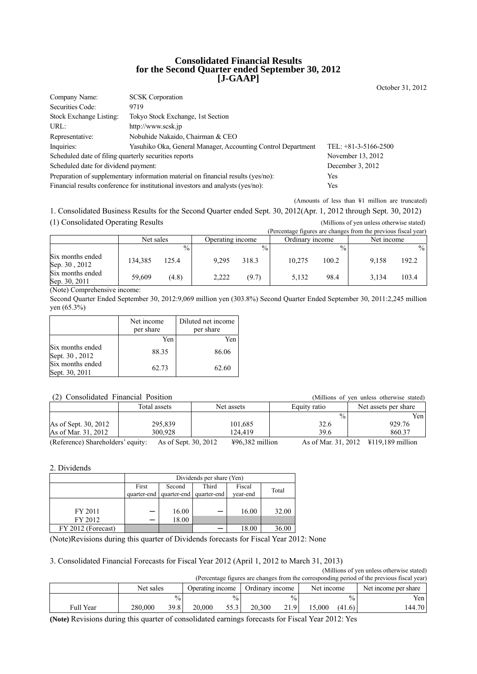### **Consolidated Financial Results for the Second Quarter ended September 30, 2012 [J-GAAP]**

Company Name: SCSK Corporation Securities Code: 9719 Stock Exchange Listing: Tokyo Stock Exchange, 1st Section URL: http://www.scsk.jp Representative: Nobuhide Nakaido, Chairman & CEO Inquiries: Yasuhiko Oka, General Manager, Accounting Control Department TEL: +81-3-5166-2500 Scheduled date of filing quarterly securities reports November 13, 2012 Scheduled date for dividend payment: December 3, 2012 Preparation of supplementary information material on financial results (yes/no): Yes Financial results conference for institutional investors and analysts (yes/no): Yes

(Amounts of less than ¥1 million are truncated)

1. Consolidated Business Results for the Second Quarter ended Sept. 30, 2012(Apr. 1, 2012 through Sept. 30, 2012) (1) Consolidated Operating Results (Millions of yen unless otherwise stated)

|                                   |           |               |                  |               |                 |               | (Percentage figures are changes from the previous fiscal year) |       |
|-----------------------------------|-----------|---------------|------------------|---------------|-----------------|---------------|----------------------------------------------------------------|-------|
|                                   | Net sales |               | Operating income |               | Ordinary income |               | Net income                                                     |       |
|                                   |           | $\frac{0}{0}$ |                  | $\frac{0}{0}$ |                 | $\frac{0}{0}$ |                                                                | $\%$  |
| Six months ended<br>Sep. 30, 2012 | 134.385   | 125.4         | 9.295            | 318.3         | 10.275          | 100.2         | 9.158                                                          | 192.2 |
| Six months ended<br>Sep. 30, 2011 | 59.609    | (4.8)         | 2,222            | (9.7)         | 5.132           | 98.4          | 3.134                                                          | 103.4 |

(Note) Comprehensive income:

Second Quarter Ended September 30, 2012:9,069 million yen (303.8%) Second Quarter Ended September 30, 2011:2,245 million yen (65.3%)

|                                                      | Net income<br>per share | Diluted net income<br>per share |
|------------------------------------------------------|-------------------------|---------------------------------|
|                                                      | Yen                     | Yen                             |
| Six months ended                                     | 88.35                   | 86.06                           |
| Sept. 30, 2012<br>Six months ended<br>Sept. 30, 2011 | 62.73                   | 62.60                           |

| (2) Consolidated Financial Position<br>(Millions of yen unless otherwise stated) |                      |                   |               |                                               |  |  |  |
|----------------------------------------------------------------------------------|----------------------|-------------------|---------------|-----------------------------------------------|--|--|--|
|                                                                                  | Total assets         | Net assets        | Equity ratio  | Net assets per share                          |  |  |  |
|                                                                                  |                      |                   | $\frac{0}{0}$ | Yen                                           |  |  |  |
| As of Sept. 30, 2012                                                             | 295.839              | 101.685           | 32.6          | 929.76                                        |  |  |  |
| As of Mar. 31, 2012                                                              | 300.928              | 124.419           | 39.6          | 860.37                                        |  |  |  |
| (Reference) Shareholders' equity:                                                | As of Sept. 30, 2012 | $496,382$ million |               | As of Mar. 31, 2012 \ \ \ \ \ 119,189 million |  |  |  |

#### 2. Dividends

|                    | Dividends per share (Yen) |        |                         |          |       |  |
|--------------------|---------------------------|--------|-------------------------|----------|-------|--|
|                    | First                     | Second | Third                   | Fiscal   | Total |  |
|                    | quarter-end               |        | quarter-end quarter-end | year-end |       |  |
|                    |                           |        |                         |          |       |  |
| FY 2011            |                           | 16.00  | —                       | 16.00    | 32.00 |  |
| FY 2012            |                           | 18.00  |                         |          |       |  |
| FY 2012 (Forecast) |                           |        |                         | 18.00    | 36.00 |  |

(Note)Revisions during this quarter of Dividends forecasts for Fiscal Year 2012: None

### 3. Consolidated Financial Forecasts for Fiscal Year 2012 (April 1, 2012 to March 31, 2013)

(Millions of yen unless otherwise stated) (Percentage figures are changes from the corresponding period of the previous fiscal year)

|           | Net sales |               |        | Ordinary income<br>Operating income |        | Net income    |       | Net income per share |                  |
|-----------|-----------|---------------|--------|-------------------------------------|--------|---------------|-------|----------------------|------------------|
|           |           | $\frac{0}{0}$ |        | $\%$ .                              |        | $\frac{0}{0}$ |       | $\frac{0}{0}$        | Yen <sub>1</sub> |
| Full Year | 280,000   | 39.8          | 20.000 | 55.3                                | 20.300 | 21.9          | 5.000 | (41.6)               | 144.70           |

**(Note)** Revisions during this quarter of consolidated earnings forecasts for Fiscal Year 2012: Yes

October 31, 2012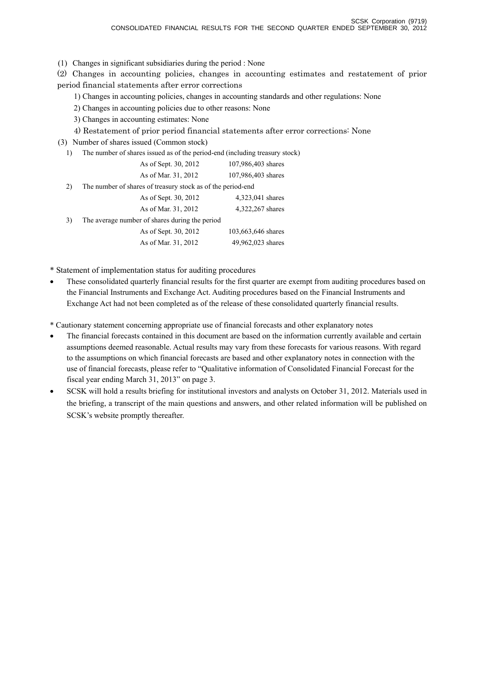(1) Changes in significant subsidiaries during the period : None

(2) Changes in accounting policies, changes in accounting estimates and restatement of prior period financial statements after error corrections

1) Changes in accounting policies, changes in accounting standards and other regulations: None

2) Changes in accounting policies due to other reasons: None

- 3) Changes in accounting estimates: None
- 4) Restatement of prior period financial statements after error corrections: None

(3) Number of shares issued (Common stock)

1) The number of shares issued as of the period-end (including treasury stock)

|    | As of Sept. 30, 2012                                        | 107,986,403 shares |
|----|-------------------------------------------------------------|--------------------|
|    | As of Mar. 31, 2012                                         | 107,986,403 shares |
| 2) | The number of shares of treasury stock as of the period-end |                    |
|    | As of Sept. 30, 2012                                        | 4,323,041 shares   |
|    | As of Mar. 31, 2012                                         | 4,322,267 shares   |
| 3) | The average number of shares during the period              |                    |
|    | As of Sept. 30, 2012                                        | 103,663,646 shares |
|    | As of Mar. 31, 2012                                         | 49,962,023 shares  |
|    |                                                             |                    |

\* Statement of implementation status for auditing procedures

• These consolidated quarterly financial results for the first quarter are exempt from auditing procedures based on the Financial Instruments and Exchange Act. Auditing procedures based on the Financial Instruments and Exchange Act had not been completed as of the release of these consolidated quarterly financial results.

\* Cautionary statement concerning appropriate use of financial forecasts and other explanatory notes

- The financial forecasts contained in this document are based on the information currently available and certain assumptions deemed reasonable. Actual results may vary from these forecasts for various reasons. With regard to the assumptions on which financial forecasts are based and other explanatory notes in connection with the use of financial forecasts, please refer to "Qualitative information of Consolidated Financial Forecast for the fiscal year ending March 31, 2013" on page 3.
- SCSK will hold a results briefing for institutional investors and analysts on October 31, 2012. Materials used in the briefing, a transcript of the main questions and answers, and other related information will be published on SCSK's website promptly thereafter.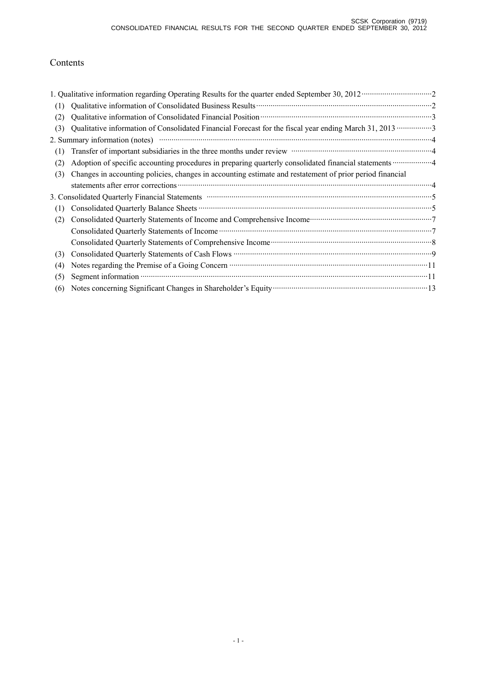# Contents

|     | 1. Qualitative information regarding Operating Results for the quarter ended September 30, 2012 ··························2                                                                        |
|-----|----------------------------------------------------------------------------------------------------------------------------------------------------------------------------------------------------|
| (1) |                                                                                                                                                                                                    |
| (2) |                                                                                                                                                                                                    |
| (3) |                                                                                                                                                                                                    |
|     |                                                                                                                                                                                                    |
| (1) | Transfer of important subsidiaries in the three months under review manufactured in the three months under review                                                                                  |
| (2) |                                                                                                                                                                                                    |
| (3) | Changes in accounting policies, changes in accounting estimate and restatement of prior period financial                                                                                           |
|     |                                                                                                                                                                                                    |
|     | 3. Consolidated Quarterly Financial Statements manufactured and continuum control of the Statements of Statements                                                                                  |
| (1) |                                                                                                                                                                                                    |
| (2) | Consolidated Quarterly Statements of Income and Comprehensive Income manufacturer and Tonsolidated Quarterly Statements of Income and Comprehensive Income manufacturer and Tonsolidated Quarterly |
|     |                                                                                                                                                                                                    |
|     |                                                                                                                                                                                                    |
| (3) |                                                                                                                                                                                                    |
| (4) |                                                                                                                                                                                                    |
| (5) |                                                                                                                                                                                                    |
| (6) | Notes concerning Significant Changes in Shareholder's Equity manufactured and the state of 13                                                                                                      |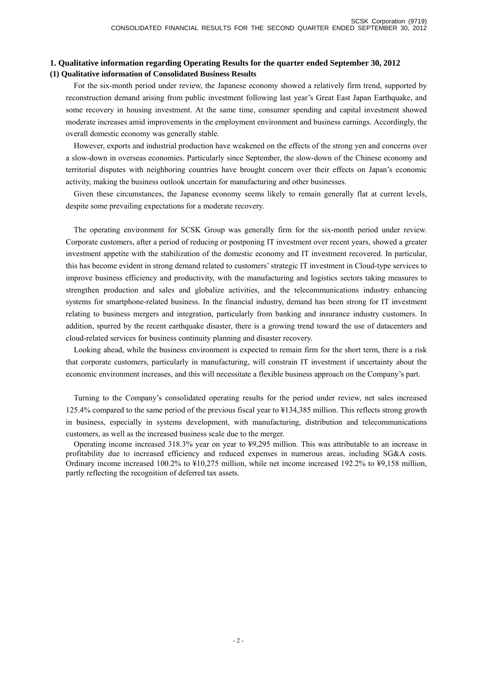### **1. Qualitative information regarding Operating Results for the quarter ended September 30, 2012 (1) Qualitative information of Consolidated Business Results**

For the six-month period under review, the Japanese economy showed a relatively firm trend, supported by reconstruction demand arising from public investment following last year's Great East Japan Earthquake, and some recovery in housing investment. At the same time, consumer spending and capital investment showed moderate increases amid improvements in the employment environment and business earnings. Accordingly, the overall domestic economy was generally stable.

However, exports and industrial production have weakened on the effects of the strong yen and concerns over a slow-down in overseas economies. Particularly since September, the slow-down of the Chinese economy and territorial disputes with neighboring countries have brought concern over their effects on Japan's economic activity, making the business outlook uncertain for manufacturing and other businesses.

Given these circumstances, the Japanese economy seems likely to remain generally flat at current levels, despite some prevailing expectations for a moderate recovery.

The operating environment for SCSK Group was generally firm for the six-month period under review. Corporate customers, after a period of reducing or postponing IT investment over recent years, showed a greater investment appetite with the stabilization of the domestic economy and IT investment recovered. In particular, this has become evident in strong demand related to customers' strategic IT investment in Cloud-type services to improve business efficiency and productivity, with the manufacturing and logistics sectors taking measures to strengthen production and sales and globalize activities, and the telecommunications industry enhancing systems for smartphone-related business. In the financial industry, demand has been strong for IT investment relating to business mergers and integration, particularly from banking and insurance industry customers. In addition, spurred by the recent earthquake disaster, there is a growing trend toward the use of datacenters and cloud-related services for business continuity planning and disaster recovery.

Looking ahead, while the business environment is expected to remain firm for the short term, there is a risk that corporate customers, particularly in manufacturing, will constrain IT investment if uncertainty about the economic environment increases, and this will necessitate a flexible business approach on the Company's part.

Turning to the Company's consolidated operating results for the period under review, net sales increased 125.4% compared to the same period of the previous fiscal year to ¥134,385 million. This reflects strong growth in business, especially in systems development, with manufacturing, distribution and telecommunications customers, as well as the increased business scale due to the merger.

Operating income increased 318.3% year on year to ¥9,295 million. This was attributable to an increase in profitability due to increased efficiency and reduced expenses in numerous areas, including SG&A costs. Ordinary income increased 100.2% to ¥10,275 million, while net income increased 192.2% to ¥9,158 million, partly reflecting the recognition of deferred tax assets.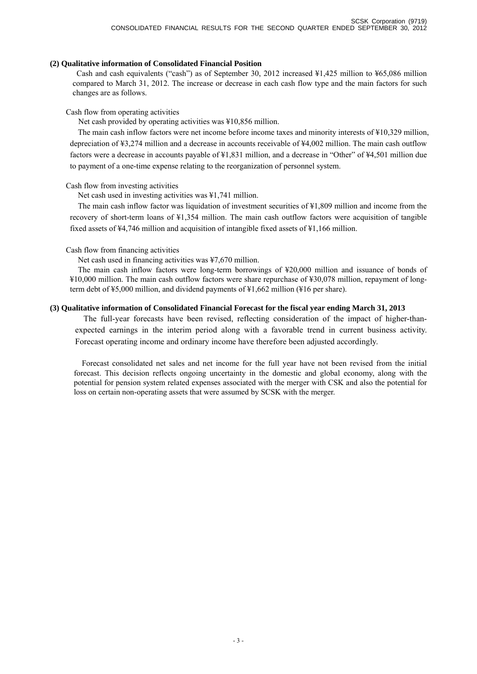### **(2) Qualitative information of Consolidated Financial Position**

Cash and cash equivalents ("cash") as of September 30, 2012 increased ¥1,425 million to ¥65,086 million compared to March 31, 2012. The increase or decrease in each cash flow type and the main factors for such changes are as follows.

#### Cash flow from operating activities

Net cash provided by operating activities was ¥10,856 million.

The main cash inflow factors were net income before income taxes and minority interests of ¥10,329 million, depreciation of ¥3,274 million and a decrease in accounts receivable of ¥4,002 million. The main cash outflow factors were a decrease in accounts payable of ¥1,831 million, and a decrease in "Other" of ¥4,501 million due to payment of a one-time expense relating to the reorganization of personnel system.

#### Cash flow from investing activities

Net cash used in investing activities was ¥1,741 million.

The main cash inflow factor was liquidation of investment securities of ¥1,809 million and income from the recovery of short-term loans of ¥1,354 million. The main cash outflow factors were acquisition of tangible fixed assets of ¥4,746 million and acquisition of intangible fixed assets of ¥1,166 million.

#### Cash flow from financing activities

Net cash used in financing activities was ¥7,670 million.

The main cash inflow factors were long-term borrowings of ¥20,000 million and issuance of bonds of ¥10,000 million. The main cash outflow factors were share repurchase of ¥30,078 million, repayment of longterm debt of ¥5,000 million, and dividend payments of ¥1,662 million (¥16 per share).

### **(3) Qualitative information of Consolidated Financial Forecast for the fiscal year ending March 31, 2013**

The full-year forecasts have been revised, reflecting consideration of the impact of higher-thanexpected earnings in the interim period along with a favorable trend in current business activity. Forecast operating income and ordinary income have therefore been adjusted accordingly.

Forecast consolidated net sales and net income for the full year have not been revised from the initial forecast. This decision reflects ongoing uncertainty in the domestic and global economy, along with the potential for pension system related expenses associated with the merger with CSK and also the potential for loss on certain non-operating assets that were assumed by SCSK with the merger.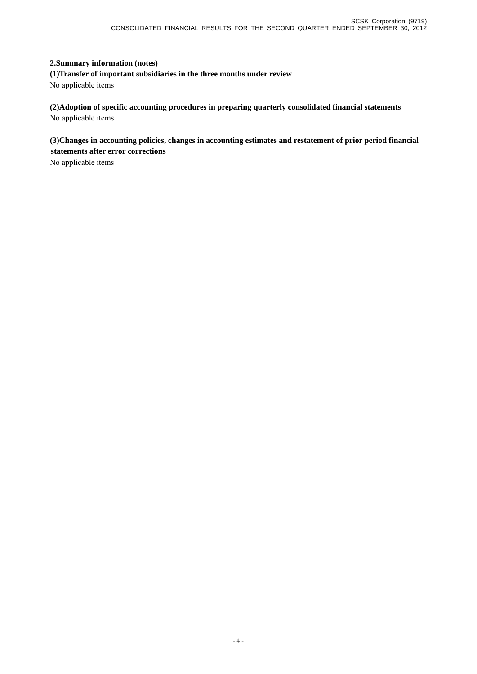### **2.Summary information (notes)**

**(1)Transfer of important subsidiaries in the three months under review**  No applicable items

**(2)Adoption of specific accounting procedures in preparing quarterly consolidated financial statements**  No applicable items

**(3)Changes in accounting policies, changes in accounting estimates and restatement of prior period financial statements after error corrections** 

No applicable items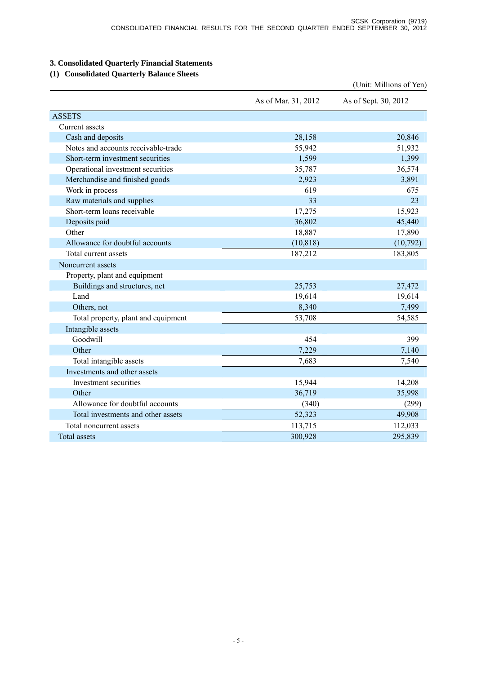# **3. Consolidated Quarterly Financial Statements**

## **(1) Consolidated Quarterly Balance Sheets**

|                                     |                     | (Unit: Millions of Yen) |
|-------------------------------------|---------------------|-------------------------|
|                                     | As of Mar. 31, 2012 | As of Sept. 30, 2012    |
| <b>ASSETS</b>                       |                     |                         |
| Current assets                      |                     |                         |
| Cash and deposits                   | 28,158              | 20,846                  |
| Notes and accounts receivable-trade | 55,942              | 51,932                  |
| Short-term investment securities    | 1,599               | 1,399                   |
| Operational investment securities   | 35,787              | 36,574                  |
| Merchandise and finished goods      | 2,923               | 3,891                   |
| Work in process                     | 619                 | 675                     |
| Raw materials and supplies          | 33                  | 23                      |
| Short-term loans receivable         | 17,275              | 15,923                  |
| Deposits paid                       | 36,802              | 45,440                  |
| Other                               | 18,887              | 17,890                  |
| Allowance for doubtful accounts     | (10, 818)           | (10,792)                |
| Total current assets                | 187,212             | 183,805                 |
| Noncurrent assets                   |                     |                         |
| Property, plant and equipment       |                     |                         |
| Buildings and structures, net       | 25,753              | 27,472                  |
| Land                                | 19,614              | 19,614                  |
| Others, net                         | 8,340               | 7,499                   |
| Total property, plant and equipment | 53,708              | 54,585                  |
| Intangible assets                   |                     |                         |
| Goodwill                            | 454                 | 399                     |
| Other                               | 7,229               | 7,140                   |
| Total intangible assets             | 7,683               | 7,540                   |
| Investments and other assets        |                     |                         |
| Investment securities               | 15,944              | 14,208                  |
| Other                               | 36,719              | 35,998                  |
| Allowance for doubtful accounts     | (340)               | (299)                   |
| Total investments and other assets  | 52,323              | 49,908                  |
| Total noncurrent assets             | 113,715             | 112,033                 |
| <b>Total assets</b>                 | 300,928             | 295,839                 |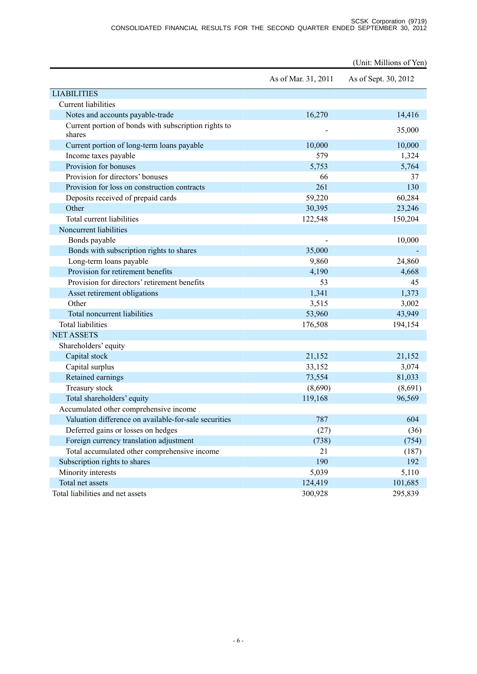|                                                                |                     | (Unit: Millions of Yen) |
|----------------------------------------------------------------|---------------------|-------------------------|
|                                                                | As of Mar. 31, 2011 | As of Sept. 30, 2012    |
| <b>LIABILITIES</b>                                             |                     |                         |
| <b>Current liabilities</b>                                     |                     |                         |
| Notes and accounts payable-trade                               | 16,270              | 14,416                  |
| Current portion of bonds with subscription rights to<br>shares |                     | 35,000                  |
| Current portion of long-term loans payable                     | 10,000              | 10,000                  |
| Income taxes payable                                           | 579                 | 1,324                   |
| Provision for bonuses                                          | 5,753               | 5,764                   |
| Provision for directors' bonuses                               | 66                  | 37                      |
| Provision for loss on construction contracts                   | 261                 | 130                     |
| Deposits received of prepaid cards                             | 59,220              | 60,284                  |
| Other                                                          | 30,395              | 23,246                  |
| Total current liabilities                                      | 122,548             | 150,204                 |
| Noncurrent liabilities                                         |                     |                         |
| Bonds payable                                                  |                     | 10,000                  |
| Bonds with subscription rights to shares                       | 35,000              |                         |
| Long-term loans payable                                        | 9,860               | 24,860                  |
| Provision for retirement benefits                              | 4,190               | 4,668                   |
| Provision for directors' retirement benefits                   | 53                  | 45                      |
| Asset retirement obligations                                   | 1,341               | 1,373                   |
| Other                                                          | 3,515               | 3,002                   |
| Total noncurrent liabilities                                   | 53,960              | 43,949                  |
| <b>Total liabilities</b>                                       | 176,508             | 194,154                 |
| <b>NET ASSETS</b>                                              |                     |                         |
| Shareholders' equity                                           |                     |                         |
| Capital stock                                                  | 21,152              | 21,152                  |
| Capital surplus                                                | 33,152              | 3,074                   |
| Retained earnings                                              | 73,554              | 81,033                  |
| Treasury stock                                                 | (8,690)             | (8,691)                 |
| Total shareholders' equity                                     | 119,168             | 96,569                  |
| Accumulated other comprehensive income                         |                     |                         |
| Valuation difference on available-for-sale securities          | 787                 | 604                     |
| Deferred gains or losses on hedges                             | (27)                | (36)                    |
| Foreign currency translation adjustment                        | (738)               | (754)                   |
| Total accumulated other comprehensive income                   | 21                  | (187)                   |
| Subscription rights to shares                                  | 190                 | 192                     |
| Minority interests                                             | 5,039               | 5,110                   |
| Total net assets                                               | 124,419             | 101,685                 |
| Total liabilities and net assets                               | 300,928             | 295,839                 |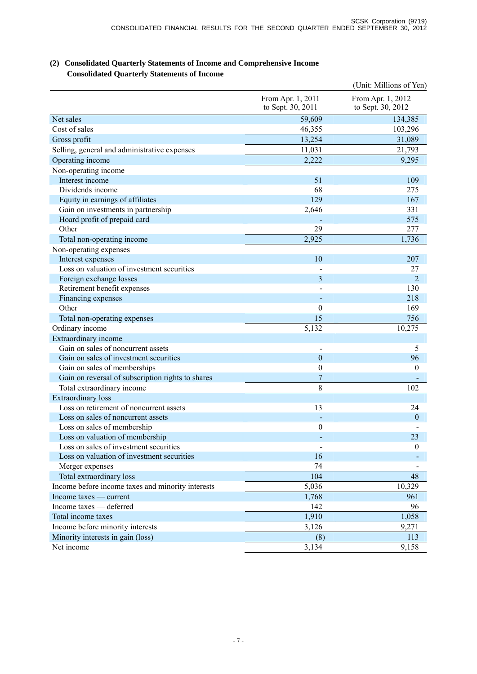## **(2) Consolidated Quarterly Statements of Income and Comprehensive Income Consolidated Quarterly Statements of Income**

|                                                   |                                        | (Unit: Millions of Yen)                |
|---------------------------------------------------|----------------------------------------|----------------------------------------|
|                                                   | From Apr. 1, 2011<br>to Sept. 30, 2011 | From Apr. 1, 2012<br>to Sept. 30, 2012 |
| Net sales                                         | 59,609                                 | 134,385                                |
| Cost of sales                                     | 46,355                                 | 103,296                                |
| Gross profit                                      | 13,254                                 | 31,089                                 |
| Selling, general and administrative expenses      | 11,031                                 | 21,793                                 |
| Operating income                                  | 2,222                                  | 9,295                                  |
| Non-operating income                              |                                        |                                        |
| Interest income                                   | 51                                     | 109                                    |
| Dividends income                                  | 68                                     | 275                                    |
| Equity in earnings of affiliates                  | 129                                    | 167                                    |
| Gain on investments in partnership                | 2,646                                  | 331                                    |
| Hoard profit of prepaid card                      |                                        | 575                                    |
| Other                                             | 29                                     | 277                                    |
| Total non-operating income                        | 2,925                                  | 1,736                                  |
| Non-operating expenses                            |                                        |                                        |
| Interest expenses                                 | 10                                     | 207                                    |
| Loss on valuation of investment securities        |                                        | 27                                     |
| Foreign exchange losses                           | 3                                      | $\overline{2}$                         |
| Retirement benefit expenses                       |                                        | 130                                    |
| Financing expenses                                |                                        | 218                                    |
| Other                                             | $\theta$                               | 169                                    |
| Total non-operating expenses                      | 15                                     | 756                                    |
| Ordinary income                                   | 5,132                                  | 10,275                                 |
| Extraordinary income                              |                                        |                                        |
| Gain on sales of noncurrent assets                |                                        | 5                                      |
| Gain on sales of investment securities            | $\mathbf{0}$                           | 96                                     |
| Gain on sales of memberships                      | $\boldsymbol{0}$                       | $\boldsymbol{0}$                       |
| Gain on reversal of subscription rights to shares | 7                                      |                                        |
| Total extraordinary income                        | 8                                      | 102                                    |
| <b>Extraordinary</b> loss                         |                                        |                                        |
| Loss on retirement of noncurrent assets           | 13                                     | 24                                     |
| Loss on sales of noncurrent assets                |                                        | $\overline{0}$                         |
| Loss on sales of membership                       | $\overline{0}$                         |                                        |
| Loss on valuation of membership                   |                                        | 23                                     |
| Loss on sales of investment securities            |                                        | $\boldsymbol{0}$                       |
| Loss on valuation of investment securities        | 16                                     |                                        |
| Merger expenses                                   | 74                                     |                                        |
| Total extraordinary loss                          | 104                                    | 48                                     |
| Income before income taxes and minority interests | 5,036                                  | 10,329                                 |
| Income taxes — current                            | 1,768                                  | 961                                    |
| Income taxes - deferred                           | 142                                    | 96                                     |
| Total income taxes                                | 1,910                                  | 1,058                                  |
| Income before minority interests                  | 3,126                                  | 9,271                                  |
| Minority interests in gain (loss)                 | (8)                                    | 113                                    |
| Net income                                        | 3,134                                  | 9,158                                  |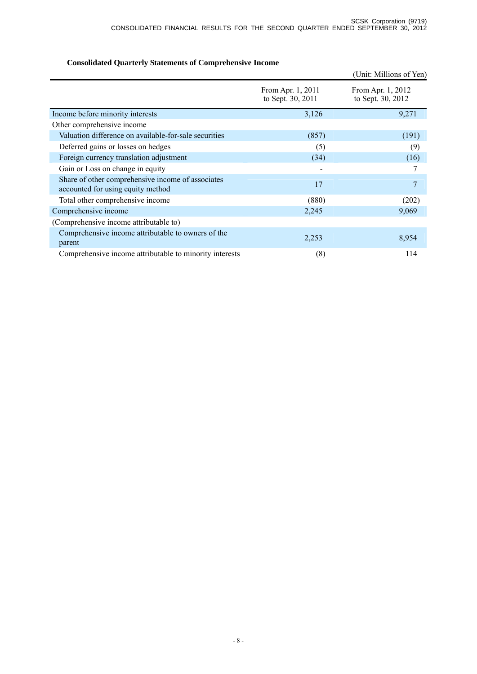# **Consolidated Quarterly Statements of Comprehensive Income**

|                                                                                        |                                        | (Unit: Millions of Yen)                |
|----------------------------------------------------------------------------------------|----------------------------------------|----------------------------------------|
|                                                                                        | From Apr. 1, 2011<br>to Sept. 30, 2011 | From Apr. 1, 2012<br>to Sept. 30, 2012 |
| Income before minority interests                                                       | 3,126                                  | 9,271                                  |
| Other comprehensive income                                                             |                                        |                                        |
| Valuation difference on available-for-sale securities                                  | (857)                                  | (191)                                  |
| Deferred gains or losses on hedges                                                     | (5)                                    | (9)                                    |
| Foreign currency translation adjustment                                                | (34)                                   | (16)                                   |
| Gain or Loss on change in equity                                                       |                                        |                                        |
| Share of other comprehensive income of associates<br>accounted for using equity method | 17                                     | 7                                      |
| Total other comprehensive income                                                       | (880)                                  | (202)                                  |
| Comprehensive income                                                                   | 2,245                                  | 9,069                                  |
| (Comprehensive income attributable to)                                                 |                                        |                                        |
| Comprehensive income attributable to owners of the<br>parent                           | 2,253                                  | 8,954                                  |
| Comprehensive income attributable to minority interests                                | (8)                                    | 114                                    |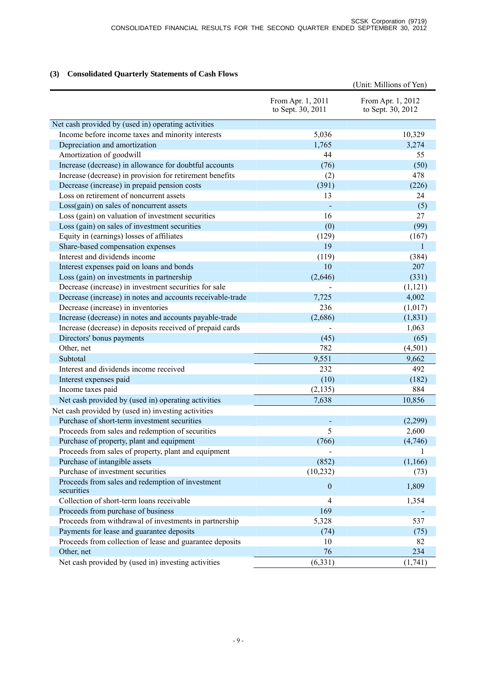### **(3) Consolidated Quarterly Statements of Cash Flows**

|                                                                |                                        | (Unit: Millions of Yen)                |
|----------------------------------------------------------------|----------------------------------------|----------------------------------------|
|                                                                | From Apr. 1, 2011<br>to Sept. 30, 2011 | From Apr. 1, 2012<br>to Sept. 30, 2012 |
| Net cash provided by (used in) operating activities            |                                        |                                        |
| Income before income taxes and minority interests              | 5,036                                  | 10,329                                 |
| Depreciation and amortization                                  | 1,765                                  | 3,274                                  |
| Amortization of goodwill                                       | 44                                     | 55                                     |
| Increase (decrease) in allowance for doubtful accounts         | (76)                                   | (50)                                   |
| Increase (decrease) in provision for retirement benefits       | (2)                                    | 478                                    |
| Decrease (increase) in prepaid pension costs                   | (391)                                  | (226)                                  |
| Loss on retirement of noncurrent assets                        | 13                                     | 24                                     |
| Loss(gain) on sales of noncurrent assets                       |                                        | (5)                                    |
| Loss (gain) on valuation of investment securities              | 16                                     | 27                                     |
| Loss (gain) on sales of investment securities                  | (0)                                    | (99)                                   |
| Equity in (earnings) losses of affiliates                      | (129)                                  | (167)                                  |
| Share-based compensation expenses                              | 19                                     | 1                                      |
| Interest and dividends income                                  | (119)                                  | (384)                                  |
| Interest expenses paid on loans and bonds                      | 10                                     | 207                                    |
| Loss (gain) on investments in partnership                      | (2,646)                                | (331)                                  |
| Decrease (increase) in investment securities for sale          |                                        | (1, 121)                               |
| Decrease (increase) in notes and accounts receivable-trade     | 7,725                                  | 4,002                                  |
| Decrease (increase) in inventories                             | 236                                    | (1,017)                                |
| Increase (decrease) in notes and accounts payable-trade        | (2,686)                                | (1, 831)                               |
| Increase (decrease) in deposits received of prepaid cards      |                                        | 1,063                                  |
| Directors' bonus payments                                      | (45)                                   | (65)                                   |
| Other, net                                                     | 782                                    | (4,501)                                |
| Subtotal                                                       | 9,551                                  | 9,662                                  |
| Interest and dividends income received                         | 232                                    | 492                                    |
| Interest expenses paid                                         | (10)                                   | (182)                                  |
| Income taxes paid                                              | (2, 135)                               | 884                                    |
| Net cash provided by (used in) operating activities            | 7,638                                  | 10,856                                 |
| Net cash provided by (used in) investing activities            |                                        |                                        |
| Purchase of short-term investment securities                   |                                        | (2,299)                                |
| Proceeds from sales and redemption of securities               | 5                                      | 2,600                                  |
| Purchase of property, plant and equipment                      | (766)                                  | (4,746)                                |
| Proceeds from sales of property, plant and equipment           |                                        |                                        |
| Purchase of intangible assets                                  | (852)                                  | (1,166)                                |
| Purchase of investment securities                              | (10, 232)                              | (73)                                   |
| Proceeds from sales and redemption of investment<br>securities | $\boldsymbol{0}$                       | 1,809                                  |
| Collection of short-term loans receivable                      | $\overline{4}$                         | 1,354                                  |
| Proceeds from purchase of business                             | 169                                    |                                        |
| Proceeds from withdrawal of investments in partnership         | 5,328                                  | 537                                    |
| Payments for lease and guarantee deposits                      | (74)                                   | (75)                                   |
| Proceeds from collection of lease and guarantee deposits       | 10                                     | 82                                     |
| Other, net                                                     | 76                                     | 234                                    |
| Net cash provided by (used in) investing activities            | (6, 331)                               | (1, 741)                               |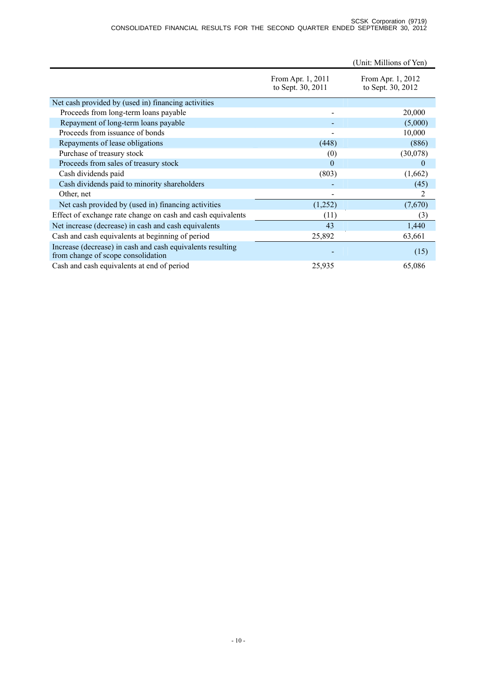|                                                                                                  |                                        | (Unit: Millions of Yen)                |
|--------------------------------------------------------------------------------------------------|----------------------------------------|----------------------------------------|
|                                                                                                  | From Apr. 1, 2011<br>to Sept. 30, 2011 | From Apr. 1, 2012<br>to Sept. 30, 2012 |
| Net cash provided by (used in) financing activities                                              |                                        |                                        |
| Proceeds from long-term loans payable                                                            |                                        | 20,000                                 |
| Repayment of long-term loans payable                                                             |                                        | (5,000)                                |
| Proceeds from issuance of bonds                                                                  |                                        | 10,000                                 |
| Repayments of lease obligations                                                                  | (448)                                  | (886)                                  |
| Purchase of treasury stock                                                                       | (0)                                    | (30,078)                               |
| Proceeds from sales of treasury stock                                                            | $\theta$                               | $\overline{0}$                         |
| Cash dividends paid                                                                              | (803)                                  | (1,662)                                |
| Cash dividends paid to minority shareholders                                                     |                                        | (45)                                   |
| Other, net                                                                                       | -                                      | 2                                      |
| Net cash provided by (used in) financing activities                                              | (1,252)                                | (7,670)                                |
| Effect of exchange rate change on cash and cash equivalents                                      | (11)                                   | (3)                                    |
| Net increase (decrease) in cash and cash equivalents                                             | 43                                     | 1,440                                  |
| Cash and cash equivalents at beginning of period                                                 | 25,892                                 | 63,661                                 |
| Increase (decrease) in cash and cash equivalents resulting<br>from change of scope consolidation |                                        | (15)                                   |
| Cash and cash equivalents at end of period                                                       | 25,935                                 | 65,086                                 |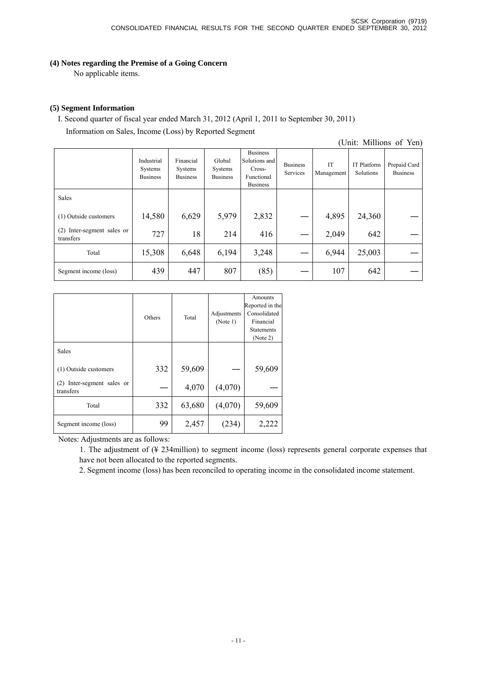**(4) Notes regarding the Premise of a Going Concern**

No applicable items.

### **(5) Segment Information**

I. Second quarter of fiscal year ended March 31, 2012 (April 1, 2011 to September 30, 2011) Information on Sales, Income (Loss) by Reported Segment

(Unit: Millions of Yen)

|                                         | Industrial<br>Systems<br><b>Business</b> | Financial<br>Systems<br><b>Business</b> | Global<br>Systems<br><b>Business</b> | <b>Business</b><br>Solutions and<br>Cross-<br>Functional<br><b>Business</b> | <b>Business</b><br>Services | IT<br>Management | IT Platform<br>Solutions | Prepaid Card<br><b>Business</b> |
|-----------------------------------------|------------------------------------------|-----------------------------------------|--------------------------------------|-----------------------------------------------------------------------------|-----------------------------|------------------|--------------------------|---------------------------------|
| <b>Sales</b>                            |                                          |                                         |                                      |                                                                             |                             |                  |                          |                                 |
| (1) Outside customers                   | 14,580                                   | 6,629                                   | 5,979                                | 2,832                                                                       |                             | 4,895            | 24,360                   |                                 |
| (2) Inter-segment sales or<br>transfers | 727                                      | 18                                      | 214                                  | 416                                                                         |                             | 2,049            | 642                      |                                 |
| Total                                   | 15,308                                   | 6,648                                   | 6,194                                | 3,248                                                                       |                             | 6,944            | 25,003                   |                                 |
| Segment income (loss)                   | 439                                      | 447                                     | 807                                  | (85)                                                                        |                             | 107              | 642                      |                                 |

|                                            | Others | Total  | Adjustments<br>(Note 1) | Amounts<br>Reported in the<br>Consolidated<br>Financial<br><b>Statements</b><br>(Note 2) |
|--------------------------------------------|--------|--------|-------------------------|------------------------------------------------------------------------------------------|
| Sales                                      |        |        |                         |                                                                                          |
| (1) Outside customers                      | 332    | 59,609 |                         | 59,609                                                                                   |
| Inter-segment sales or<br>(2)<br>transfers |        | 4,070  | (4,070)                 |                                                                                          |
| Total                                      | 332    | 63,680 | (4,070)                 | 59,609                                                                                   |
| Segment income (loss)                      | 99     | 2,457  | (234)                   | 2,222                                                                                    |

Notes: Adjustments are as follows:

1. The adjustment of (¥ 234million) to segment income (loss) represents general corporate expenses that have not been allocated to the reported segments.

2. Segment income (loss) has been reconciled to operating income in the consolidated income statement.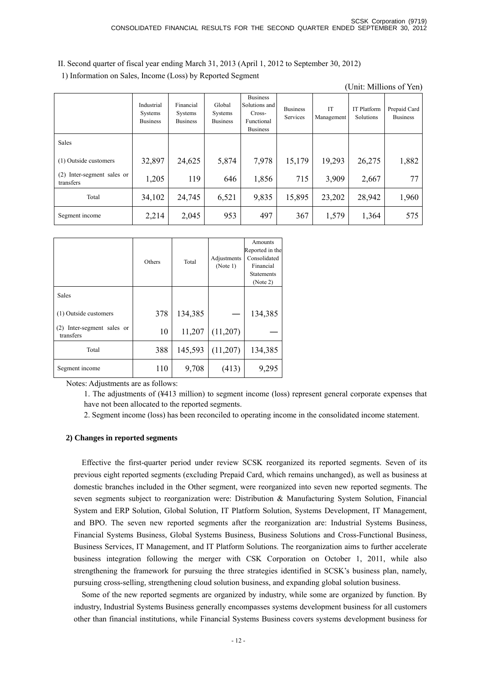II. Second quarter of fiscal year ending March 31, 2013 (April 1, 2012 to September 30, 2012)

1) Information on Sales, Income (Loss) by Reported Segment

(Unit: Millions of Yen)

|                                            | Industrial<br>Systems<br><b>Business</b> | Financial<br>Systems<br><b>Business</b> | Global<br><b>Systems</b><br><b>Business</b> | <b>Business</b><br>Solutions and<br>Cross-<br>Functional<br><b>Business</b> | <b>Business</b><br>Services | IT<br>Management | <b>IT Platform</b><br>Solutions | Prepaid Card<br><b>Business</b> |
|--------------------------------------------|------------------------------------------|-----------------------------------------|---------------------------------------------|-----------------------------------------------------------------------------|-----------------------------|------------------|---------------------------------|---------------------------------|
| Sales                                      |                                          |                                         |                                             |                                                                             |                             |                  |                                 |                                 |
| (1) Outside customers                      | 32,897                                   | 24,625                                  | 5,874                                       | 7,978                                                                       | 15,179                      | 19,293           | 26,275                          | 1,882                           |
| Inter-segment sales or<br>(2)<br>transfers | 1,205                                    | 119                                     | 646                                         | 1,856                                                                       | 715                         | 3,909            | 2,667                           | 77                              |
| Total                                      | 34,102                                   | 24,745                                  | 6,521                                       | 9,835                                                                       | 15,895                      | 23,202           | 28,942                          | 1,960                           |
| Segment income                             | 2,214                                    | 2,045                                   | 953                                         | 497                                                                         | 367                         | 1,579            | 1,364                           | 575                             |

|                                            | Others | Total   | Adjustments<br>(Note 1) | Amounts<br>Reported in the<br>Consolidated<br>Financial<br><b>Statements</b><br>(Note 2) |
|--------------------------------------------|--------|---------|-------------------------|------------------------------------------------------------------------------------------|
| Sales                                      |        |         |                         |                                                                                          |
| (1) Outside customers                      | 378    | 134,385 |                         | 134,385                                                                                  |
| Inter-segment sales or<br>(2)<br>transfers | 10     | 11,207  | (11,207)                |                                                                                          |
| Total                                      | 388    | 145,593 | (11,207)                | 134,385                                                                                  |
| Segment income                             | 110    | 9,708   | (413)                   | 9,295                                                                                    |

Notes: Adjustments are as follows:

1. The adjustments of (¥413 million) to segment income (loss) represent general corporate expenses that have not been allocated to the reported segments.

2. Segment income (loss) has been reconciled to operating income in the consolidated income statement.

### **2) Changes in reported segments**

Effective the first-quarter period under review SCSK reorganized its reported segments. Seven of its previous eight reported segments (excluding Prepaid Card, which remains unchanged), as well as business at domestic branches included in the Other segment, were reorganized into seven new reported segments. The seven segments subject to reorganization were: Distribution & Manufacturing System Solution, Financial System and ERP Solution, Global Solution, IT Platform Solution, Systems Development, IT Management, and BPO. The seven new reported segments after the reorganization are: Industrial Systems Business, Financial Systems Business, Global Systems Business, Business Solutions and Cross-Functional Business, Business Services, IT Management, and IT Platform Solutions. The reorganization aims to further accelerate business integration following the merger with CSK Corporation on October 1, 2011, while also strengthening the framework for pursuing the three strategies identified in SCSK's business plan, namely, pursuing cross-selling, strengthening cloud solution business, and expanding global solution business.

Some of the new reported segments are organized by industry, while some are organized by function. By industry, Industrial Systems Business generally encompasses systems development business for all customers other than financial institutions, while Financial Systems Business covers systems development business for